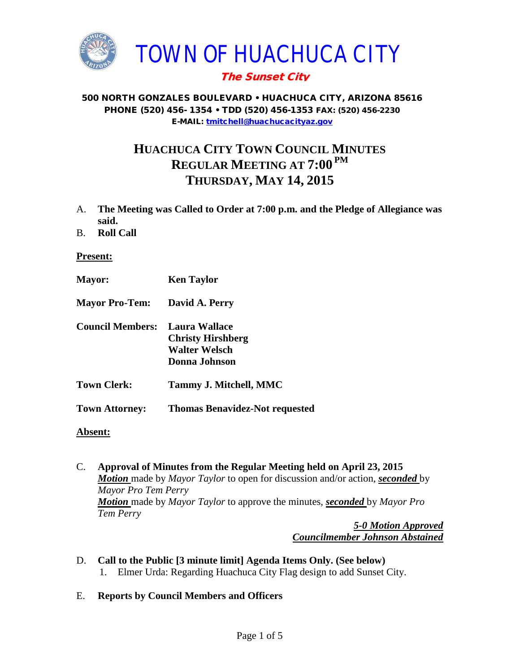

# The Sunset City

#### 500 NORTH GONZALES BOULEVARD • HUACHUCA CITY, ARIZONA 85616 PHONE (520) 456- 1354 • TDD (520) 456-1353 FAX: (520) 456-2230 E-MAIL: [tmitchell@huachucacityaz.gov](mailto:tmitchell@huachucacityaz.gov)

# **HUACHUCA CITY TOWN COUNCIL MINUTES REGULAR MEETING AT 7:00 PM THURSDAY, MAY 14, 2015**

- A. **The Meeting was Called to Order at 7:00 p.m. and the Pledge of Allegiance was said.**
- B. **Roll Call**

**Present:**

- **Mayor: Ken Taylor**
- **Mayor Pro-Tem: David A. Perry**
- **Council Members: Laura Wallace Christy Hirshberg Walter Welsch Donna Johnson**
- **Town Clerk: Tammy J. Mitchell, MMC**
- **Town Attorney: Thomas Benavidez-Not requested**
- **Absent:**
- C. **Approval of Minutes from the Regular Meeting held on April 23, 2015** *Motion* made by *Mayor Taylor* to open for discussion and/or action, *seconded* by *Mayor Pro Tem Perry Motion* made by *Mayor Taylor* to approve the minutes, *seconded* by *Mayor Pro Tem Perry*

*5-0 Motion Approved Councilmember Johnson Abstained*

- D. **Call to the Public [3 minute limit] Agenda Items Only. (See below)** 1. Elmer Urda: Regarding Huachuca City Flag design to add Sunset City.
- E. **Reports by Council Members and Officers**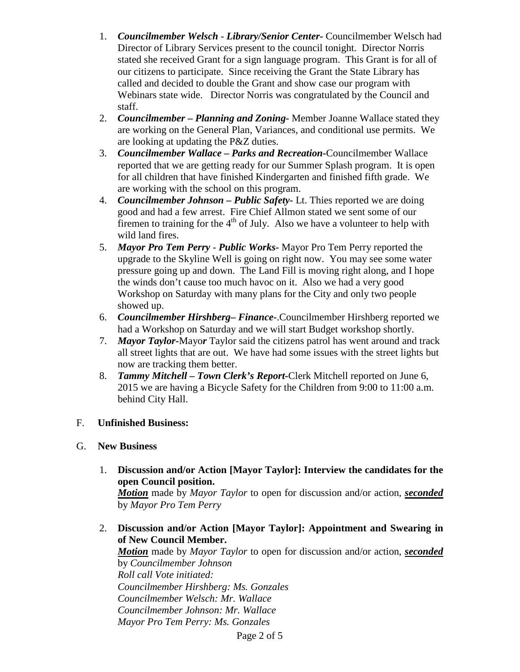- 1. *Councilmember Welsch - Library/Senior Center***-** Councilmember Welsch had Director of Library Services present to the council tonight. Director Norris stated she received Grant for a sign language program. This Grant is for all of our citizens to participate. Since receiving the Grant the State Library has called and decided to double the Grant and show case our program with Webinars state wide. Director Norris was congratulated by the Council and staff.
- 2. *Councilmember* **–** *Planning and Zoning-* Member Joanne Wallace stated they are working on the General Plan, Variances, and conditional use permits. We are looking at updating the P&Z duties.
- 3. *Councilmember Wallace* **–** *Parks and Recreation***-**Councilmember Wallace reported that we are getting ready for our Summer Splash program. It is open for all children that have finished Kindergarten and finished fifth grade. We are working with the school on this program.
- 4. *Councilmember Johnson – Public Safety-* Lt. Thies reported we are doing good and had a few arrest. Fire Chief Allmon stated we sent some of our firemen to training for the  $4<sup>th</sup>$  of July. Also we have a volunteer to help with wild land fires.
- 5. *Mayor Pro Tem Perry Public Works-* Mayor Pro Tem Perry reported the upgrade to the Skyline Well is going on right now. You may see some water pressure going up and down. The Land Fill is moving right along, and I hope the winds don't cause too much havoc on it. Also we had a very good Workshop on Saturday with many plans for the City and only two people showed up.
- 6. *Councilmember Hirshberg***–** *Finance-*.Councilmember Hirshberg reported we had a Workshop on Saturday and we will start Budget workshop shortly.
- 7. *Mayor Taylor-*Mayo*r* Taylor said the citizens patrol has went around and track all street lights that are out. We have had some issues with the street lights but now are tracking them better.
- 8. *Tammy Mitchell – Town Clerk's Report-*Clerk Mitchell reported on June 6, 2015 we are having a Bicycle Safety for the Children from 9:00 to 11:00 a.m. behind City Hall.

## F. **Unfinished Business:**

## G. **New Business**

1. **Discussion and/or Action [Mayor Taylor]: Interview the candidates for the open Council position.**

*Motion* made by *Mayor Taylor* to open for discussion and/or action, *seconded* by *Mayor Pro Tem Perry*

2. **Discussion and/or Action [Mayor Taylor]: Appointment and Swearing in of New Council Member.**

*Motion* made by *Mayor Taylor* to open for discussion and/or action, *seconded* by *Councilmember Johnson Roll call Vote initiated: Councilmember Hirshberg: Ms. Gonzales Councilmember Welsch: Mr. Wallace Councilmember Johnson: Mr. Wallace Mayor Pro Tem Perry: Ms. Gonzales*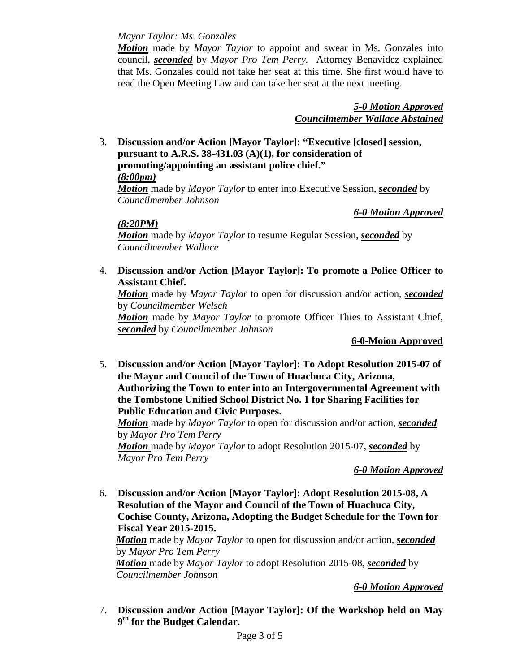*Mayor Taylor: Ms. Gonzales* 

*Motion* made by *Mayor Taylor* to appoint and swear in Ms. Gonzales into council, *seconded* by *Mayor Pro Tem Perry.* Attorney Benavidez explained that Ms. Gonzales could not take her seat at this time. She first would have to read the Open Meeting Law and can take her seat at the next meeting.

> *5-0 Motion Approved Councilmember Wallace Abstained*

3. **Discussion and/or Action [Mayor Taylor]: "Executive [closed] session, pursuant to A.R.S. 38-431.03 (A)(1), for consideration of promoting/appointing an assistant police chief."**

*(8:00pm)*

*Motion* made by *Mayor Taylor* to enter into Executive Session, *seconded* by *Councilmember Johnson*

*6-0 Motion Approved*

*(8:20PM)*

*Motion* made by *Mayor Taylor* to resume Regular Session, *seconded* by *Councilmember Wallace*

4. **Discussion and/or Action [Mayor Taylor]: To promote a Police Officer to Assistant Chief.** 

*Motion* made by *Mayor Taylor* to open for discussion and/or action, *seconded* by *Councilmember Welsch*

*Motion* made by *Mayor Taylor* to promote Officer Thies to Assistant Chief, *seconded* by *Councilmember Johnson*

**6-0-Moion Approved**

5. **Discussion and/or Action [Mayor Taylor]: To Adopt Resolution 2015-07 of the Mayor and Council of the Town of Huachuca City, Arizona, Authorizing the Town to enter into an Intergovernmental Agreement with the Tombstone Unified School District No. 1 for Sharing Facilities for Public Education and Civic Purposes.**

*Motion* made by *Mayor Taylor* to open for discussion and/or action, *seconded* by *Mayor Pro Tem Perry*

*Motion* made by *Mayor Taylor* to adopt Resolution 2015-07, *seconded* by *Mayor Pro Tem Perry*

*6-0 Motion Approved*

6. **Discussion and/or Action [Mayor Taylor]: Adopt Resolution 2015-08, A Resolution of the Mayor and Council of the Town of Huachuca City, Cochise County, Arizona, Adopting the Budget Schedule for the Town for Fiscal Year 2015-2015.**

*Motion* made by *Mayor Taylor* to open for discussion and/or action, *seconded* by *Mayor Pro Tem Perry*

*Motion* made by *Mayor Taylor* to adopt Resolution 2015-08, *seconded* by *Councilmember Johnson*

## *6-0 Motion Approved*

7. **Discussion and/or Action [Mayor Taylor]: Of the Workshop held on May 9th for the Budget Calendar.**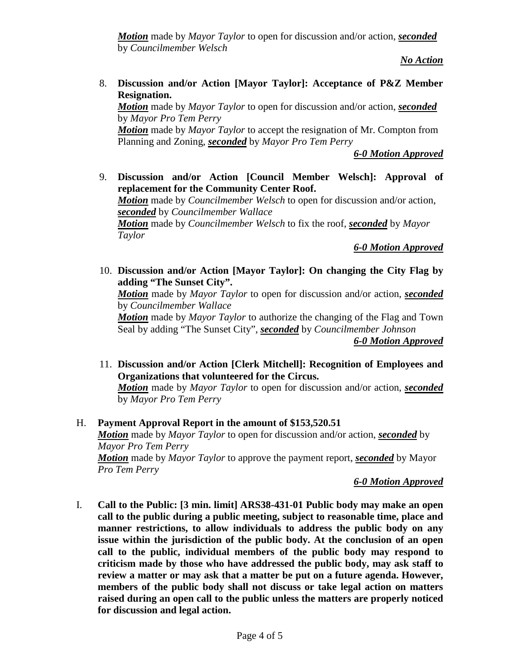*Motion* made by *Mayor Taylor* to open for discussion and/or action, *seconded* by *Councilmember Welsch*

*No Action*

8. **Discussion and/or Action [Mayor Taylor]: Acceptance of P&Z Member Resignation.**

*Motion* made by *Mayor Taylor* to open for discussion and/or action, *seconded* by *Mayor Pro Tem Perry*

*Motion* made by *Mayor Taylor* to accept the resignation of Mr. Compton from Planning and Zoning, *seconded* by *Mayor Pro Tem Perry*

*6-0 Motion Approved*

9. **Discussion and/or Action [Council Member Welsch]: Approval of replacement for the Community Center Roof.**  *Motion* made by *Councilmember Welsch* to open for discussion and/or action, *seconded* by *Councilmember Wallace Motion* made by *Councilmember Welsch* to fix the roof, *seconded* by *Mayor Taylor*

*6-0 Motion Approved*

10. **Discussion and/or Action [Mayor Taylor]: On changing the City Flag by adding "The Sunset City".**

*Motion* made by *Mayor Taylor* to open for discussion and/or action, *seconded* by *Councilmember Wallace*

*Motion* made by *Mayor Taylor* to authorize the changing of the Flag and Town Seal by adding "The Sunset City", *seconded* by *Councilmember Johnson*

*6-0 Motion Approved*

11. **Discussion and/or Action [Clerk Mitchell]: Recognition of Employees and Organizations that volunteered for the Circus.** 

*Motion* made by *Mayor Taylor* to open for discussion and/or action, *seconded* by *Mayor Pro Tem Perry*

H. **Payment Approval Report in the amount of \$153,520.51**

*Motion* made by *Mayor Taylor* to open for discussion and/or action, *seconded* by *Mayor Pro Tem Perry*

*Motion* made by *Mayor Taylor* to approve the payment report, *seconded* by Mayor *Pro Tem Perry*

#### *6-0 Motion Approved*

I. **Call to the Public: [3 min. limit] ARS38-431-01 Public body may make an open call to the public during a public meeting, subject to reasonable time, place and manner restrictions, to allow individuals to address the public body on any issue within the jurisdiction of the public body. At the conclusion of an open call to the public, individual members of the public body may respond to criticism made by those who have addressed the public body, may ask staff to review a matter or may ask that a matter be put on a future agenda. However, members of the public body shall not discuss or take legal action on matters raised during an open call to the public unless the matters are properly noticed for discussion and legal action.**